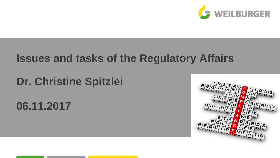

## **Issues and tasks of the Regulatory Affairs**

# **Dr. Christine Spitzlei**

**06.11.2017**

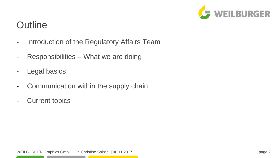

## **Outline**

- Introduction of the Regulatory Affairs Team
- Responsibilities What we are doing
- Legal basics
- Communication within the supply chain
- Current topics

the contract of the contract of the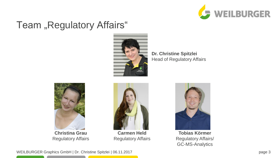

### Team "Regulatory Affairs"



**Dr. Christine Spitzlei** Head of Regulatory Affairs



**Christina Grau** Regulatory Affairs



**Carmen Held** Regulatory Affairs



**Tobias Körmer** Regulatory Affairs/ GC-MS-Analytics

WEILBURGER Graphics GmbH | Dr. Christine Spitzlei | 06.11.2017 bage 3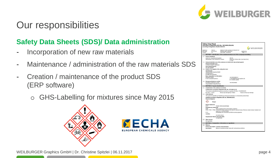

### **Safety Data Sheets (SDS)/ Data administration**

- Incorporation of new raw materials
- Maintenance / administration of the raw materials SDS
- Creation / maintenance of the product SDS (ERP software)
	- o GHS-Labelling for mixtures since May 2015







WEILBURGER Graphics GmbH | Dr. Christine Spitzlei | 06.11.2017 page 4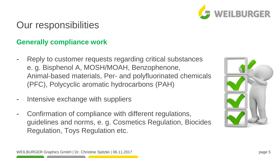

#### **Generally compliance work**

- Reply to customer requests regarding critical substances e. g. Bisphenol A, MOSH/MOAH, Benzophenone, Animal-based materials, Per- and polyfluorinated chemicals (PFC), Polycyclic aromatic hydrocarbons (PAH)
- Intensive exchange with suppliers
- Confirmation of compliance with different regulations, guidelines and norms, e. g. Cosmetics Regulation, Biocides Regulation, Toys Regulation etc.

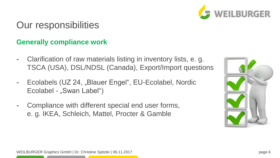

#### **Generally compliance work**

- Clarification of raw materials listing in inventory lists, e. g. TSCA (USA), DSL/NDSL (Canada), Export/Import questions
- Ecolabels (UZ 24, "Blauer Engel", EU-Ecolabel, Nordic Ecolabel - "Swan Label")
- Compliance with different special end user forms, e. g. IKEA, Schleich, Mattel, Procter & Gamble

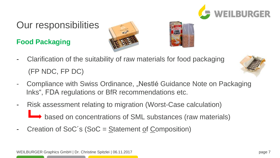

### **Food Packaging**





- Clarification of the suitability of raw materials for food packaging (FP NDC, FP DC)



- Compliance with Swiss Ordinance, "Nestlé Guidance Note on Packaging Inks", FDA regulations or BfR recommendations etc.
- Risk assessment relating to migration (Worst-Case calculation) based on concentrations of SML substances (raw materials)
- Creation of SoC's (SoC =  $\frac{S}{S}$ tatement of Composition)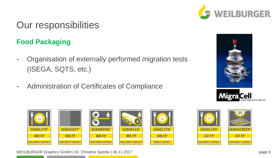

### **Food Packaging**

- Organisation of externally performed migration tests (ISEGA, SQTS, etc.)
- Administration of Certificates of Compliance











WEILBURGER Graphics GmbH | Dr. Christine Spitzlei | 06.11.2017 **page 8**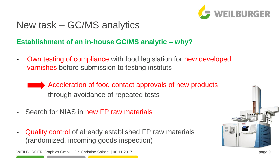

## New task – GC/MS analytics

### **Establishment of an in-house GC/MS analytic – why?**

- Own testing of compliance with food legislation for new developed varnishes before submission to testing instituts
	- Acceleration of food contact approvals of new products through avoidance of repeated tests
- Search for NIAS in new FP raw materials
- Quality control of already established FP raw materials (randomized, incoming goods inspection)

WEILBURGER Graphics GmbH | Dr. Christine Spitzlei | 06.11.2017 **page 9** and the spitzlei business of the spitzlei business of the spitzlei business of the spitzlei business of the spitzlei business of the spitzlei business

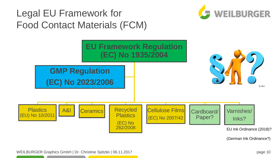## Legal EU Framework for Food Contact Materials (FCM)





(German Ink Ordinance?)

WEILBURGER Graphics GmbH | Dr. Christine Spitzlei | 06.11.2017 **page 10** page 10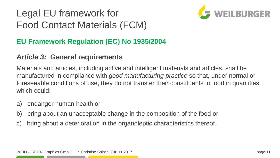# Legal EU framework for Food Contact Materials (FCM)



### **EU Framework Regulation (EC) No 1935/2004**

#### *Article 3:* **General requirements**

Materials and articles, including active and intelligent materials and articles, shall be manufactured in compliance with *good manufacturing practice* so that, under normal or foreseeable conditions of use, they do not transfer their constituents to food in quantities which could:

- a) endanger human health or
- b) bring about an unacceptable change in the composition of the food or
- c) bring about a deterioration in the organoleptic characteristics thereof.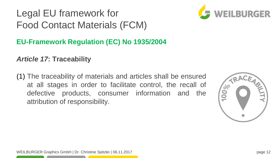# Legal EU framework for Food Contact Materials (FCM)



### **EU-Framework Regulation (EC) No 1935/2004**

### *Article 17***: Traceability**

(1) The traceability of materials and articles shall be ensured at all stages in order to facilitate control, the recall of defective products, consumer information and the attribution of responsibility.

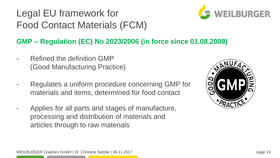Legal EU framework for Food Contact Materials (FCM)



### **GMP – Regulation (EC) No 2023/2006 (in force since 01.08.2008)**

- Refined the definition GMP (Good Manufacturing Practice)
- Regulates a uniform procedure concerning GMP for materials and items, determined for food contact
- Applies for all parts and stages of manufacture, processing and distribution of materials and articles through to raw materials

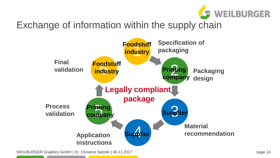

# Exchange of information within the supply chain



WEILBURGER Graphics GmbH | Dr. Christine Spitzlei | 06.11.2017 **page 14** page 14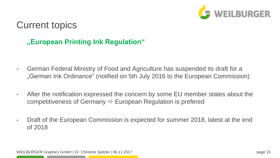

### Current topics

### **"European Printing Ink Regulation"**

- German Federal Ministry of Food and Agriculture has suspended its draft for a "German Ink Ordinance" (notified on 5th July 2016 to the European Commission)
- After the notification expressed the concern by some EU member states about the competitiveness of Germany  $\Rightarrow$  European Regulation is prefered
- Draft of the European Commission is expected for summer 2018, latest at the end of 2018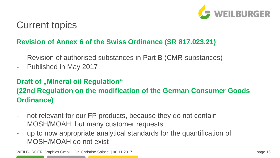

### Current topics

#### **Revision of Annex 6 of the Swiss Ordinance (SR 817.023.21)**

- Revision of authorised substances in Part B (CMR-substances)
- Published in May 2017

#### **Draft of ..Mineral oil Regulation"**

### **(22nd Regulation on the modification of the German Consumer Goods Ordinance)**

- not relevant for our FP products, because they do not contain MOSH/MOAH, but many customer requests
- up to now appropriate analytical standards for the quantification of MOSH/MOAH do not exist

WEILBURGER Graphics GmbH | Dr. Christine Spitzlei | 06.11.2017 **page 16** page 16